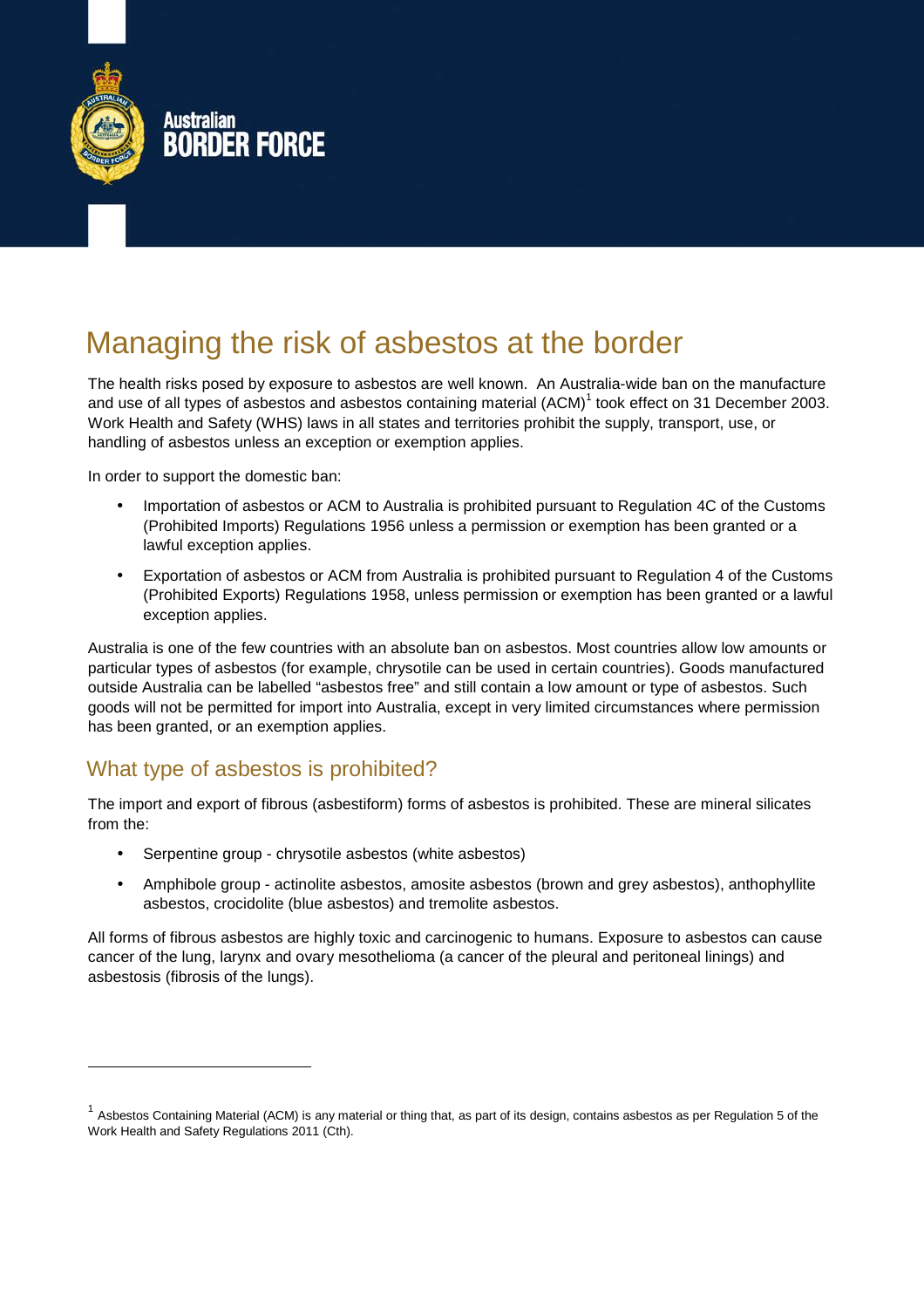

# Managing the risk of asbestos at the border

The health risks posed by exposure to asbestos are well known. An Australia-wide ban on the manufacture and use of all types of asbestos and asbestos containing material (ACM)<sup>1</sup> took effect on 31 December 2003. Work Health and Safety (WHS) laws in all states and territories prohibit the supply, transport, use, or handling of asbestos unless an exception or exemption applies.

In order to support the domestic ban:

- Importation of asbestos or ACM to Australia is prohibited pursuant to Regulation 4C of the Customs (Prohibited Imports) Regulations 1956 unless a permission or exemption has been granted or a lawful exception applies.
- Exportation of asbestos or ACM from Australia is prohibited pursuant to Regulation 4 of the Customs (Prohibited Exports) Regulations 1958, unless permission or exemption has been granted or a lawful exception applies.

Australia is one of the few countries with an absolute ban on asbestos. Most countries allow low amounts or particular types of asbestos (for example, chrysotile can be used in certain countries). Goods manufactured outside Australia can be labelled "asbestos free" and still contain a low amount or type of asbestos. Such goods will not be permitted for import into Australia, except in very limited circumstances where permission has been granted, or an exemption applies.

# What type of asbestos is prohibited?

-

The import and export of fibrous (asbestiform) forms of asbestos is prohibited. These are mineral silicates from the:

- Serpentine group chrysotile asbestos (white asbestos)
- Amphibole group actinolite asbestos, amosite asbestos (brown and grey asbestos), anthophyllite asbestos, crocidolite (blue asbestos) and tremolite asbestos.

All forms of fibrous asbestos are highly toxic and carcinogenic to humans. Exposure to asbestos can cause cancer of the lung, larynx and ovary mesothelioma (a cancer of the pleural and peritoneal linings) and asbestosis (fibrosis of the lungs).

<sup>&</sup>lt;sup>1</sup> Asbestos Containing Material (ACM) is any material or thing that, as part of its design, contains asbestos as per Regulation 5 of the Work Health and Safety Regulations 2011 (Cth).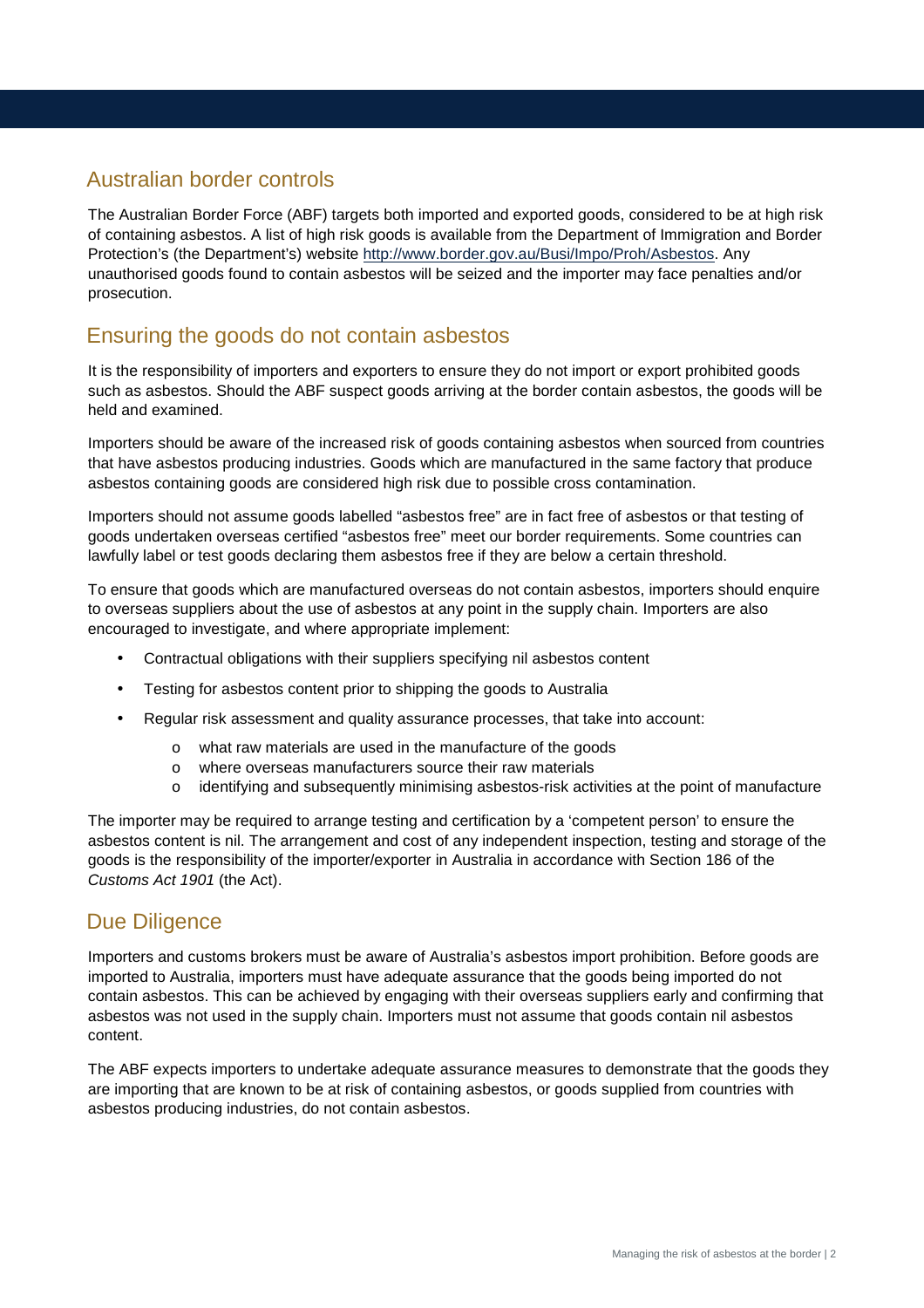## Australian border controls

The Australian Border Force (ABF) targets both imported and exported goods, considered to be at high risk of containing asbestos. A list of high risk goods is available from the Department of Immigration and Border Protection's (the Department's) website http://www.border.gov.au/Busi/Impo/Proh/Asbestos. Any unauthorised goods found to contain asbestos will be seized and the importer may face penalties and/or prosecution.

# Ensuring the goods do not contain asbestos

It is the responsibility of importers and exporters to ensure they do not import or export prohibited goods such as asbestos. Should the ABF suspect goods arriving at the border contain asbestos, the goods will be held and examined.

Importers should be aware of the increased risk of goods containing asbestos when sourced from countries that have asbestos producing industries. Goods which are manufactured in the same factory that produce asbestos containing goods are considered high risk due to possible cross contamination.

Importers should not assume goods labelled "asbestos free" are in fact free of asbestos or that testing of goods undertaken overseas certified "asbestos free" meet our border requirements. Some countries can lawfully label or test goods declaring them asbestos free if they are below a certain threshold.

To ensure that goods which are manufactured overseas do not contain asbestos, importers should enquire to overseas suppliers about the use of asbestos at any point in the supply chain. Importers are also encouraged to investigate, and where appropriate implement:

- Contractual obligations with their suppliers specifying nil asbestos content
- Testing for asbestos content prior to shipping the goods to Australia
- Regular risk assessment and quality assurance processes, that take into account:
	- o what raw materials are used in the manufacture of the goods
	- o where overseas manufacturers source their raw materials
	- o identifying and subsequently minimising asbestos-risk activities at the point of manufacture

The importer may be required to arrange testing and certification by a 'competent person' to ensure the asbestos content is nil. The arrangement and cost of any independent inspection, testing and storage of the goods is the responsibility of the importer/exporter in Australia in accordance with Section 186 of the Customs Act 1901 (the Act).

## Due Diligence

Importers and customs brokers must be aware of Australia's asbestos import prohibition. Before goods are imported to Australia, importers must have adequate assurance that the goods being imported do not contain asbestos. This can be achieved by engaging with their overseas suppliers early and confirming that asbestos was not used in the supply chain. Importers must not assume that goods contain nil asbestos content.

The ABF expects importers to undertake adequate assurance measures to demonstrate that the goods they are importing that are known to be at risk of containing asbestos, or goods supplied from countries with asbestos producing industries, do not contain asbestos.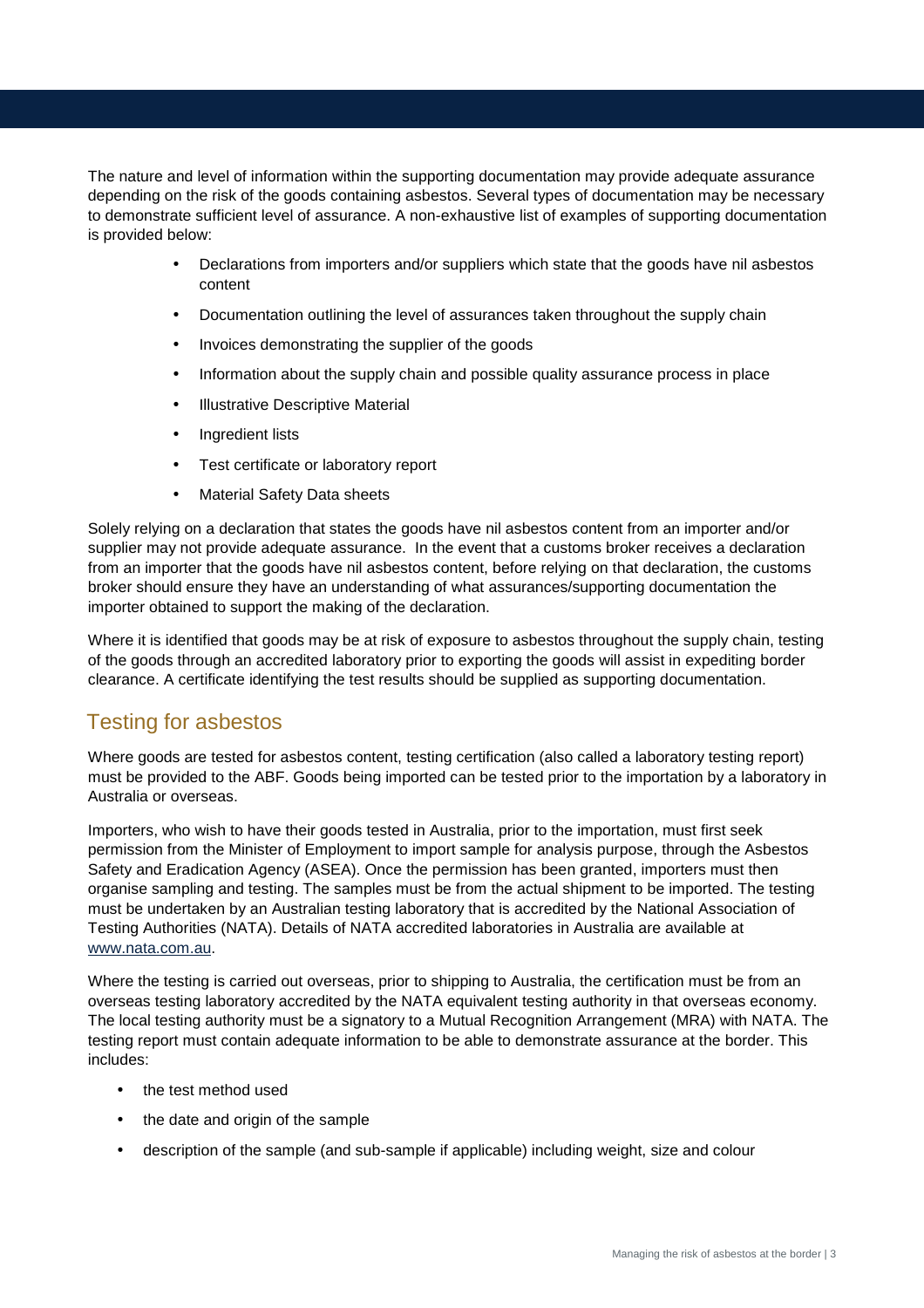The nature and level of information within the supporting documentation may provide adequate assurance depending on the risk of the goods containing asbestos. Several types of documentation may be necessary to demonstrate sufficient level of assurance. A non-exhaustive list of examples of supporting documentation is provided below:

- Declarations from importers and/or suppliers which state that the goods have nil asbestos content
- Documentation outlining the level of assurances taken throughout the supply chain
- Invoices demonstrating the supplier of the goods
- Information about the supply chain and possible quality assurance process in place
- **Illustrative Descriptive Material**
- Ingredient lists
- Test certificate or laboratory report
- Material Safety Data sheets

Solely relying on a declaration that states the goods have nil asbestos content from an importer and/or supplier may not provide adequate assurance. In the event that a customs broker receives a declaration from an importer that the goods have nil asbestos content, before relying on that declaration, the customs broker should ensure they have an understanding of what assurances/supporting documentation the importer obtained to support the making of the declaration.

Where it is identified that goods may be at risk of exposure to asbestos throughout the supply chain, testing of the goods through an accredited laboratory prior to exporting the goods will assist in expediting border clearance. A certificate identifying the test results should be supplied as supporting documentation.

# Testing for asbestos

Where goods are tested for asbestos content, testing certification (also called a laboratory testing report) must be provided to the ABF. Goods being imported can be tested prior to the importation by a laboratory in Australia or overseas.

Importers, who wish to have their goods tested in Australia, prior to the importation, must first seek permission from the Minister of Employment to import sample for analysis purpose, through the Asbestos Safety and Eradication Agency (ASEA). Once the permission has been granted, importers must then organise sampling and testing. The samples must be from the actual shipment to be imported. The testing must be undertaken by an Australian testing laboratory that is accredited by the National Association of Testing Authorities (NATA). Details of NATA accredited laboratories in Australia are available at www.nata.com.au.

Where the testing is carried out overseas, prior to shipping to Australia, the certification must be from an overseas testing laboratory accredited by the NATA equivalent testing authority in that overseas economy. The local testing authority must be a signatory to a Mutual Recognition Arrangement (MRA) with NATA. The testing report must contain adequate information to be able to demonstrate assurance at the border. This includes:

- the test method used
- the date and origin of the sample
- description of the sample (and sub-sample if applicable) including weight, size and colour